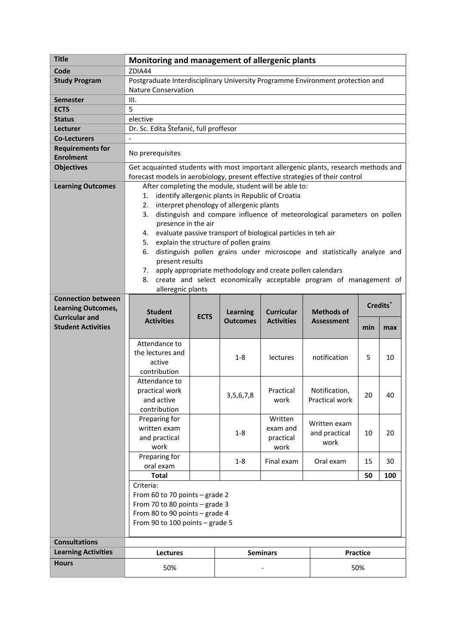| <b>Title</b>                                                                                                 | Monitoring and management of allergenic plants                                                                                                                                                                                                                                                                                                                                                                                                                                                                                                                                                                                       |             |                                    |                                          |                                        |          |     |
|--------------------------------------------------------------------------------------------------------------|--------------------------------------------------------------------------------------------------------------------------------------------------------------------------------------------------------------------------------------------------------------------------------------------------------------------------------------------------------------------------------------------------------------------------------------------------------------------------------------------------------------------------------------------------------------------------------------------------------------------------------------|-------------|------------------------------------|------------------------------------------|----------------------------------------|----------|-----|
| Code                                                                                                         | ZDIA44                                                                                                                                                                                                                                                                                                                                                                                                                                                                                                                                                                                                                               |             |                                    |                                          |                                        |          |     |
| <b>Study Program</b>                                                                                         | Postgraduate Interdisciplinary University Programme Environment protection and                                                                                                                                                                                                                                                                                                                                                                                                                                                                                                                                                       |             |                                    |                                          |                                        |          |     |
|                                                                                                              | <b>Nature Conservation</b>                                                                                                                                                                                                                                                                                                                                                                                                                                                                                                                                                                                                           |             |                                    |                                          |                                        |          |     |
| <b>Semester</b>                                                                                              | III.                                                                                                                                                                                                                                                                                                                                                                                                                                                                                                                                                                                                                                 |             |                                    |                                          |                                        |          |     |
| <b>ECTS</b>                                                                                                  | 5                                                                                                                                                                                                                                                                                                                                                                                                                                                                                                                                                                                                                                    |             |                                    |                                          |                                        |          |     |
| <b>Status</b>                                                                                                | elective                                                                                                                                                                                                                                                                                                                                                                                                                                                                                                                                                                                                                             |             |                                    |                                          |                                        |          |     |
| Lecturer                                                                                                     | Dr. Sc. Edita Štefanić, full proffesor                                                                                                                                                                                                                                                                                                                                                                                                                                                                                                                                                                                               |             |                                    |                                          |                                        |          |     |
| <b>Co-Lecturers</b>                                                                                          | $\blacksquare$                                                                                                                                                                                                                                                                                                                                                                                                                                                                                                                                                                                                                       |             |                                    |                                          |                                        |          |     |
| <b>Requirements for</b><br><b>Enrolment</b>                                                                  | No prerequisites                                                                                                                                                                                                                                                                                                                                                                                                                                                                                                                                                                                                                     |             |                                    |                                          |                                        |          |     |
| <b>Objectives</b>                                                                                            | Get acquainted students with most important allergenic plants, research methods and<br>forecast models in aerobiology, present effective strategies of their control                                                                                                                                                                                                                                                                                                                                                                                                                                                                 |             |                                    |                                          |                                        |          |     |
| <b>Learning Outcomes</b>                                                                                     | After completing the module, student will be able to:<br>1. identify allergenic plants in Republic of Croatia<br>2. interpret phenology of allergenic plants<br>3. distinguish and compare influence of meteorological parameters on pollen<br>presence in the air<br>4. evaluate passive transport of biological particles in teh air<br>5. explain the structure of pollen grains<br>distinguish pollen grains under microscope and statistically analyze and<br>6.<br>present results<br>7. apply appropriate methodology and create pollen calendars<br>create and select economically acceptable program of management of<br>8. |             |                                    |                                          |                                        |          |     |
| <b>Connection between</b><br><b>Learning Outcomes,</b><br><b>Curricular and</b><br><b>Student Activities</b> | alleregnic plants<br><b>Student</b><br><b>Activities</b>                                                                                                                                                                                                                                                                                                                                                                                                                                                                                                                                                                             | <b>ECTS</b> | <b>Learning</b><br><b>Outcomes</b> | <b>Curricular</b><br><b>Activities</b>   | <b>Methods of</b><br><b>Assessment</b> | Credits* |     |
|                                                                                                              |                                                                                                                                                                                                                                                                                                                                                                                                                                                                                                                                                                                                                                      |             |                                    |                                          |                                        | min      | max |
|                                                                                                              | Attendance to<br>the lectures and<br>active<br>contribution                                                                                                                                                                                                                                                                                                                                                                                                                                                                                                                                                                          |             | $1 - 8$                            | lectures                                 | notification                           | 5        | 10  |
|                                                                                                              | Attendance to<br>practical work<br>and active<br>contribution                                                                                                                                                                                                                                                                                                                                                                                                                                                                                                                                                                        |             | 3, 5, 6, 7, 8                      | Practical<br>work                        | Notification,<br>Practical work        | 20       | 40  |
|                                                                                                              | Preparing for<br>written exam<br>and practical<br>work                                                                                                                                                                                                                                                                                                                                                                                                                                                                                                                                                                               |             | $1 - 8$                            | Written<br>exam and<br>practical<br>work | Written exam<br>and practical<br>work  | 10       | 20  |
|                                                                                                              | Preparing for<br>oral exam                                                                                                                                                                                                                                                                                                                                                                                                                                                                                                                                                                                                           |             | $1 - 8$                            | Final exam                               | Oral exam                              | 15       | 30  |
|                                                                                                              | <b>Total</b>                                                                                                                                                                                                                                                                                                                                                                                                                                                                                                                                                                                                                         |             |                                    |                                          |                                        | 50       | 100 |
|                                                                                                              | Criteria:<br>From 60 to 70 points - grade 2<br>From 70 to 80 points - grade 3<br>From 80 to 90 points - grade 4<br>From 90 to 100 points - grade 5                                                                                                                                                                                                                                                                                                                                                                                                                                                                                   |             |                                    |                                          |                                        |          |     |
|                                                                                                              |                                                                                                                                                                                                                                                                                                                                                                                                                                                                                                                                                                                                                                      |             |                                    |                                          |                                        |          |     |
|                                                                                                              |                                                                                                                                                                                                                                                                                                                                                                                                                                                                                                                                                                                                                                      |             |                                    | <b>Seminars</b>                          |                                        | Practice |     |
| <b>Consultations</b>                                                                                         |                                                                                                                                                                                                                                                                                                                                                                                                                                                                                                                                                                                                                                      |             |                                    |                                          |                                        |          |     |
| <b>Learning Activities</b><br><b>Hours</b>                                                                   | Lectures<br>50%                                                                                                                                                                                                                                                                                                                                                                                                                                                                                                                                                                                                                      |             |                                    |                                          |                                        | 50%      |     |